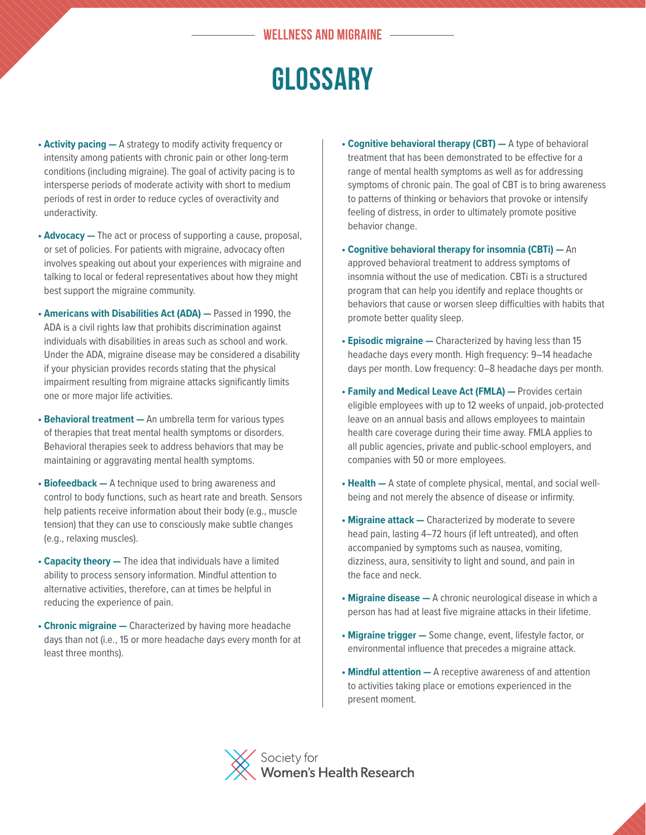## **WELLNESS AND MIGRAINE**

## **GLOSSARY**

- **• Activity pacing** A strategy to modify activity frequency or intensity among patients with chronic pain or other long-term conditions (including migraine). The goal of activity pacing is to intersperse periods of moderate activity with short to medium periods of rest in order to reduce cycles of overactivity and underactivity.
- **Advocacy** The act or process of supporting a cause, proposal, or set of policies. For patients with migraine, advocacy often involves speaking out about your experiences with migraine and talking to local or federal representatives about how they might best support the migraine community.
- **• Americans with Disabilities Act (ADA)** Passed in 1990, the ADA is a civil rights law that prohibits discrimination against individuals with disabilities in areas such as school and work. Under the ADA, migraine disease may be considered a disability if your physician provides records stating that the physical impairment resulting from migraine attacks significantly limits one or more major life activities.
- **• Behavioral treatment** An umbrella term for various types of therapies that treat mental health symptoms or disorders. Behavioral therapies seek to address behaviors that may be maintaining or aggravating mental health symptoms.
- **Biofeedback** A technique used to bring awareness and control to body functions, such as heart rate and breath. Sensors help patients receive information about their body (e.g., muscle tension) that they can use to consciously make subtle changes (e.g., relaxing muscles).
- **• Capacity theory** The idea that individuals have a limited ability to process sensory information. Mindful attention to alternative activities, therefore, can at times be helpful in reducing the experience of pain.
- **• Chronic migraine** Characterized by having more headache days than not (i.e., 15 or more headache days every month for at least three months).
- **• Cognitive behavioral therapy (CBT)** A type of behavioral treatment that has been demonstrated to be effective for a range of mental health symptoms as well as for addressing symptoms of chronic pain. The goal of CBT is to bring awareness to patterns of thinking or behaviors that provoke or intensify feeling of distress, in order to ultimately promote positive behavior change.
- **• Cognitive behavioral therapy for insomnia (CBTi)** An approved behavioral treatment to address symptoms of insomnia without the use of medication. CBTi is a structured program that can help you identify and replace thoughts or behaviors that cause or worsen sleep difficulties with habits that promote better quality sleep.
- **• Episodic migraine** Characterized by having less than 15 headache days every month. High frequency: 9–14 headache days per month. Low frequency: 0–8 headache days per month.
- **• Family and Medical Leave Act (FMLA)** Provides certain eligible employees with up to 12 weeks of unpaid, job-protected leave on an annual basis and allows employees to maintain health care coverage during their time away. FMLA applies to all public agencies, private and public-school employers, and companies with 50 or more employees.
- **Health** A state of complete physical, mental, and social wellbeing and not merely the absence of disease or infirmity.
- **• Migraine attack** Characterized by moderate to severe head pain, lasting 4–72 hours (if left untreated), and often accompanied by symptoms such as nausea, vomiting, dizziness, aura, sensitivity to light and sound, and pain in the face and neck.
- **• Migraine disease** A chronic neurological disease in which a person has had at least five migraine attacks in their lifetime.
- **• Migraine trigger** Some change, event, lifestyle factor, or environmental influence that precedes a migraine attack.
- **• Mindful attention** A receptive awareness of and attention to activities taking place or emotions experienced in the present moment.